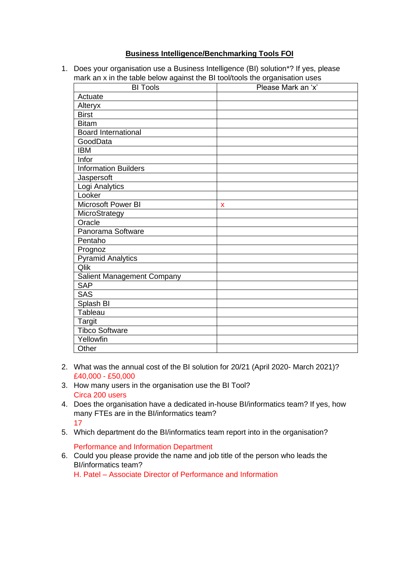## **Business Intelligence/Benchmarking Tools FOI**

1. Does your organisation use a Business Intelligence (BI) solution\*? If yes, please mark an x in the table below against the BI tool/tools the organisation uses

| <b>BI Tools</b>             | Please Mark an 'x' |
|-----------------------------|--------------------|
| Actuate                     |                    |
| Alteryx                     |                    |
| <b>Birst</b>                |                    |
| <b>Bitam</b>                |                    |
| <b>Board International</b>  |                    |
| GoodData                    |                    |
| <b>IBM</b>                  |                    |
| Infor                       |                    |
| <b>Information Builders</b> |                    |
| Jaspersoft                  |                    |
| Logi Analytics              |                    |
| Looker                      |                    |
| Microsoft Power BI          | X                  |
| MicroStrategy               |                    |
| Oracle                      |                    |
| Panorama Software           |                    |
| Pentaho                     |                    |
| Prognoz                     |                    |
| <b>Pyramid Analytics</b>    |                    |
| Qlik                        |                    |
| Salient Management Company  |                    |
| <b>SAP</b>                  |                    |
| <b>SAS</b>                  |                    |
| Splash BI                   |                    |
| Tableau                     |                    |
| <b>Targit</b>               |                    |
| <b>Tibco Software</b>       |                    |
| Yellowfin                   |                    |
| Other                       |                    |

- 2. What was the annual cost of the BI solution for 20/21 (April 2020- March 2021)? £40,000 - £50,000
- 3. How many users in the organisation use the BI Tool? Circa 200 users
- 4. Does the organisation have a dedicated in-house BI/informatics team? If yes, how many FTEs are in the BI/informatics team? 17
- 5. Which department do the BI/informatics team report into in the organisation?

## Performance and Information Department

6. Could you please provide the name and job title of the person who leads the BI/informatics team?

H. Patel – Associate Director of Performance and Information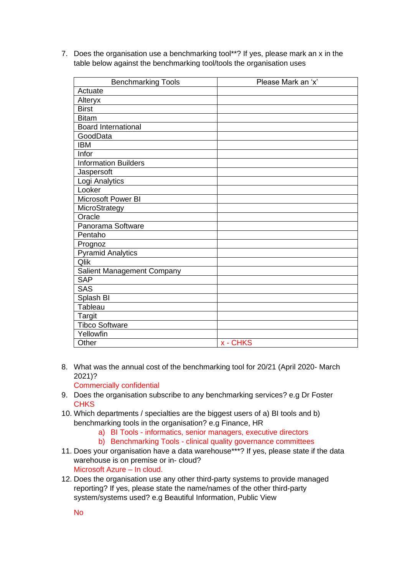7. Does the organisation use a benchmarking tool\*\*? If yes, please mark an x in the table below against the benchmarking tool/tools the organisation uses

| <b>Benchmarking Tools</b>   | Please Mark an 'x' |
|-----------------------------|--------------------|
| Actuate                     |                    |
| Alteryx                     |                    |
| <b>Birst</b>                |                    |
| <b>Bitam</b>                |                    |
| <b>Board International</b>  |                    |
| GoodData                    |                    |
| <b>IBM</b>                  |                    |
| Infor                       |                    |
| <b>Information Builders</b> |                    |
| Jaspersoft                  |                    |
| Logi Analytics              |                    |
| Looker                      |                    |
| Microsoft Power BI          |                    |
| MicroStrategy               |                    |
| Oracle                      |                    |
| Panorama Software           |                    |
| Pentaho                     |                    |
| Prognoz                     |                    |
| <b>Pyramid Analytics</b>    |                    |
| Qlik                        |                    |
| Salient Management Company  |                    |
| <b>SAP</b>                  |                    |
| <b>SAS</b>                  |                    |
| Splash BI                   |                    |
| Tableau                     |                    |
| <b>Targit</b>               |                    |
| <b>Tibco Software</b>       |                    |
| Yellowfin                   |                    |
| Other                       | x - CHKS           |

8. What was the annual cost of the benchmarking tool for 20/21 (April 2020- March 2021)?

Commercially confidential

- 9. Does the organisation subscribe to any benchmarking services? e.g Dr Foster **CHKS**
- 10. Which departments / specialties are the biggest users of a) BI tools and b) benchmarking tools in the organisation? e.g Finance, HR
	- a) BI Tools informatics, senior managers, executive directors
	- b) Benchmarking Tools clinical quality governance committees
- 11. Does your organisation have a data warehouse\*\*\*? If yes, please state if the data warehouse is on premise or in- cloud? Microsoft Azure – In cloud.
- 12. Does the organisation use any other third-party systems to provide managed reporting? If yes, please state the name/names of the other third-party system/systems used? e.g Beautiful Information, Public View